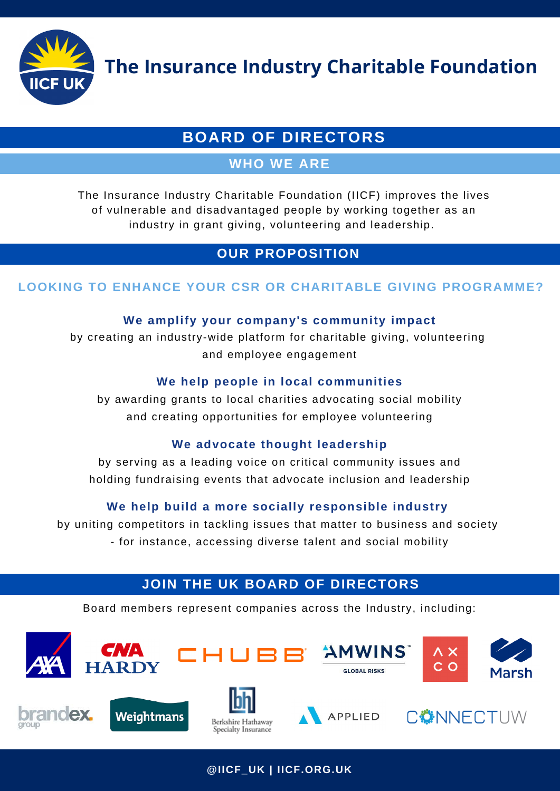

**The Insurance Industry Charitable Foundation**

# **BOARD OF DIRECTORS**

# **WHO WE ARE**

The Insurance Industry Charitable Foundation (IICF) improves the lives of vulnerable and disadvantaged people by working together as an industry in grant giving, volunteering and leadership.

# **OUR PROPOSITION**

## **LOOKING TO ENHANCE YOUR CSR OR CHARITABLE GIVING PROGRAMME?**

#### **We amplify your company's community impact**

by creating an industry-wide platform for charitable giving, volunteering and employee engagement

## **We help people in local communities**

by awarding grants to local charities advocating social mobility and creating opportunities for employee volunteering

#### **We advocate thought leadership**

by serving as a leading voice on critical community issues and holding fundraising events that advocate inclusion and leadership

## **We help build a more socially responsible industry**

by uniting competitors in tackling issues that matter to business and society - for instance, accessing diverse talent and social mobility

# **JOIN THE UK BOARD OF DIRECTORS**

**Summary of the Stories** Board members represent companies across the Industry, including:



**@IICF\_UK | IICF.ORG.UK**